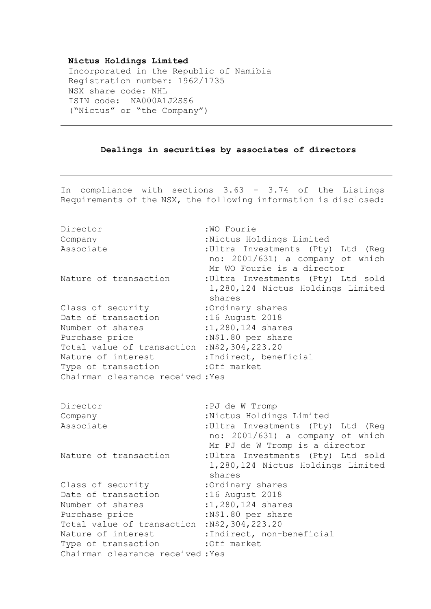## **Nictus Holdings Limited**

Incorporated in the Republic of Namibia Registration number: 1962/1735 NSX share code: NHL ISIN code: NA000A1J2SS6 ("Nictus" or "the Company")

## **Dealings in securities by associates of directors**

In compliance with sections 3.63 – 3.74 of the Listings Requirements of the NSX, the following information is disclosed:

| Director<br>Company<br>Associate                                                                                                                                                                                  | :WO Fourie<br>:Nictus Holdings Limited<br>: Ultra Investments (Pty) Ltd (Reg<br>no: 2001/631) a company of which<br>Mr WO Fourie is a director         |
|-------------------------------------------------------------------------------------------------------------------------------------------------------------------------------------------------------------------|--------------------------------------------------------------------------------------------------------------------------------------------------------|
| Nature of transaction                                                                                                                                                                                             | :Ultra Investments (Pty) Ltd sold<br>1,280,124 Nictus Holdings Limited<br>shares                                                                       |
| Class of security<br>Date of transaction<br>Number of shares<br>Purchase price<br>Total value of transaction : N\$2, 304, 223.20<br>Nature of interest<br>Type of transaction<br>Chairman clearance received: Yes | :Ordinary shares<br>:16 August 2018<br>:1,280,124 shares<br>:N\$1.80 per share<br>:Indirect, beneficial<br>:Off market                                 |
| Director<br>Company<br>Associate                                                                                                                                                                                  | :PJ de W Tromp<br>:Nictus Holdings Limited<br>: Ultra Investments (Pty) Ltd (Req<br>no: 2001/631) a company of which<br>Mr PJ de W Tromp is a director |
| Nature of transaction                                                                                                                                                                                             | :Ultra Investments (Pty) Ltd sold<br>1,280,124 Nictus Holdings Limited<br>shares                                                                       |
| Class of security<br>Date of transaction<br>Number of shares<br>Purchase price<br>Total value of transaction : N\$2, 304, 223.20<br>Nature of interest<br>Type of transaction<br>Chairman clearance received: Yes | :Ordinary shares<br>:16 August 2018<br>:1,280,124 shares<br>:N\$1.80 per share<br>:Indirect, non-beneficial<br>:Off market                             |